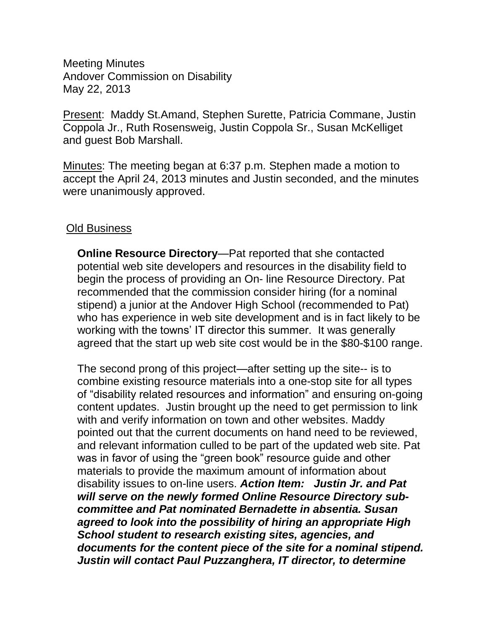Meeting Minutes Andover Commission on Disability May 22, 2013

Present: Maddy St.Amand, Stephen Surette, Patricia Commane, Justin Coppola Jr., Ruth Rosensweig, Justin Coppola Sr., Susan McKelliget and guest Bob Marshall.

Minutes: The meeting began at 6:37 p.m. Stephen made a motion to accept the April 24, 2013 minutes and Justin seconded, and the minutes were unanimously approved.

## Old Business

**Online Resource Directory**—Pat reported that she contacted potential web site developers and resources in the disability field to begin the process of providing an On- line Resource Directory. Pat recommended that the commission consider hiring (for a nominal stipend) a junior at the Andover High School (recommended to Pat) who has experience in web site development and is in fact likely to be working with the towns' IT director this summer. It was generally agreed that the start up web site cost would be in the \$80-\$100 range.

The second prong of this project—after setting up the site-- is to combine existing resource materials into a one-stop site for all types of "disability related resources and information" and ensuring on-going content updates. Justin brought up the need to get permission to link with and verify information on town and other websites. Maddy pointed out that the current documents on hand need to be reviewed, and relevant information culled to be part of the updated web site. Pat was in favor of using the "green book" resource guide and other materials to provide the maximum amount of information about disability issues to on-line users. *Action Item: Justin Jr. and Pat will serve on the newly formed Online Resource Directory subcommittee and Pat nominated Bernadette in absentia. Susan agreed to look into the possibility of hiring an appropriate High School student to research existing sites, agencies, and documents for the content piece of the site for a nominal stipend. Justin will contact Paul Puzzanghera, IT director, to determine*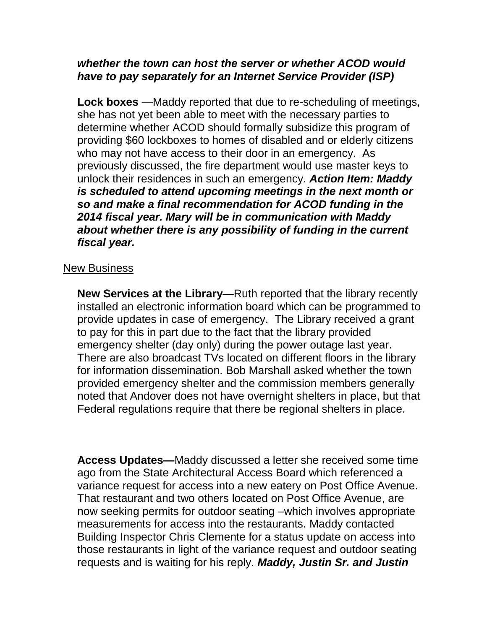## *whether the town can host the server or whether ACOD would have to pay separately for an Internet Service Provider (ISP)*

**Lock boxes** —Maddy reported that due to re-scheduling of meetings, she has not yet been able to meet with the necessary parties to determine whether ACOD should formally subsidize this program of providing \$60 lockboxes to homes of disabled and or elderly citizens who may not have access to their door in an emergency. As previously discussed, the fire department would use master keys to unlock their residences in such an emergency. *Action Item: Maddy is scheduled to attend upcoming meetings in the next month or so and make a final recommendation for ACOD funding in the 2014 fiscal year. Mary will be in communication with Maddy about whether there is any possibility of funding in the current fiscal year.*

## New Business

**New Services at the Library**—Ruth reported that the library recently installed an electronic information board which can be programmed to provide updates in case of emergency. The Library received a grant to pay for this in part due to the fact that the library provided emergency shelter (day only) during the power outage last year. There are also broadcast TVs located on different floors in the library for information dissemination. Bob Marshall asked whether the town provided emergency shelter and the commission members generally noted that Andover does not have overnight shelters in place, but that Federal regulations require that there be regional shelters in place.

**Access Updates—**Maddy discussed a letter she received some time ago from the State Architectural Access Board which referenced a variance request for access into a new eatery on Post Office Avenue. That restaurant and two others located on Post Office Avenue, are now seeking permits for outdoor seating –which involves appropriate measurements for access into the restaurants. Maddy contacted Building Inspector Chris Clemente for a status update on access into those restaurants in light of the variance request and outdoor seating requests and is waiting for his reply. *Maddy, Justin Sr. and Justin*